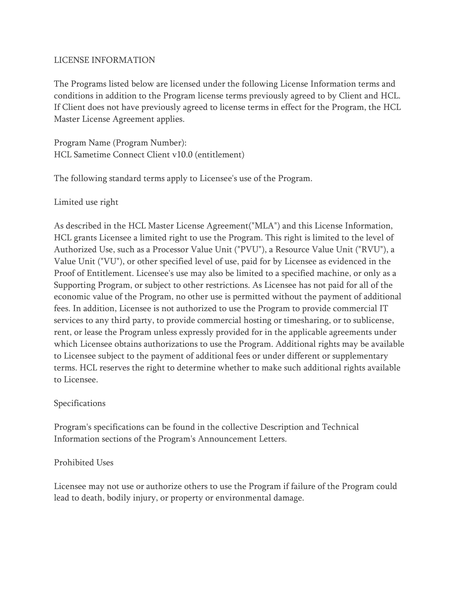### LICENSE INFORMATION

The Programs listed below are licensed under the following License Information terms and conditions in addition to the Program license terms previously agreed to by Client and HCL. If Client does not have previously agreed to license terms in effect for the Program, the HCL Master License Agreement applies.

Program Name (Program Number): HCL Sametime Connect Client v10.0 (entitlement)

The following standard terms apply to Licensee's use of the Program.

Limited use right

As described in the HCL Master License Agreement("MLA") and this License Information, HCL grants Licensee a limited right to use the Program. This right is limited to the level of Authorized Use, such as a Processor Value Unit ("PVU"), a Resource Value Unit ("RVU"), a Value Unit ("VU"), or other specified level of use, paid for by Licensee as evidenced in the Proof of Entitlement. Licensee's use may also be limited to a specified machine, or only as a Supporting Program, or subject to other restrictions. As Licensee has not paid for all of the economic value of the Program, no other use is permitted without the payment of additional fees. In addition, Licensee is not authorized to use the Program to provide commercial IT services to any third party, to provide commercial hosting or timesharing, or to sublicense, rent, or lease the Program unless expressly provided for in the applicable agreements under which Licensee obtains authorizations to use the Program. Additional rights may be available to Licensee subject to the payment of additional fees or under different or supplementary terms. HCL reserves the right to determine whether to make such additional rights available to Licensee.

# Specifications

Program's specifications can be found in the collective Description and Technical Information sections of the Program's Announcement Letters.

# Prohibited Uses

Licensee may not use or authorize others to use the Program if failure of the Program could lead to death, bodily injury, or property or environmental damage.